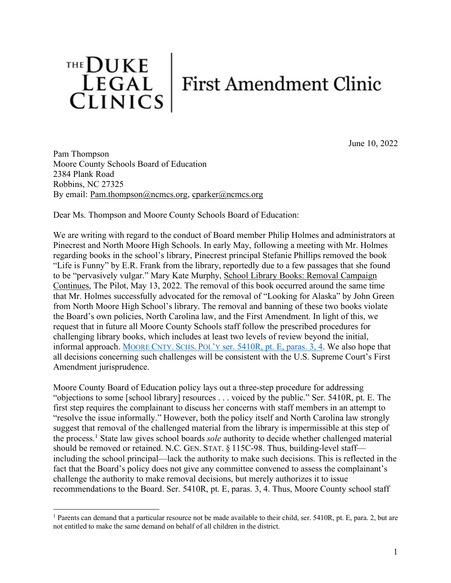

June 10, 2022

Pam Thompson Moore County Schools Board of Education 2384 Plank Road Robbins, NC 27325 By email: Pam.thompson@ncmcs.org, cparker@ncmcs.org

Dear Ms. Thompson and Moore County Schools Board of Education:

We are writing with regard to the conduct of Board member Philip Holmes and administrators at Pinecrest and North Moore High Schools. In early May, following a meeting with Mr. Holmes regarding books in the school's library, Pinecrest principal Stefanie Phillips removed the book "Life is Funny" by E.R. Frank from the library, reportedly due to a few passages that she found to be "pervasively vulgar." Mary Kate Murphy, School Library Books: Removal Campaign Continues, The Pilot, May 13, 2022. The removal of this book occurred around the same time that Mr. Holmes successfully advocated for the removal of "Looking for Alaska" by John Green from North Moore High School's library. The removal and banning of these two books violate the Board's own policies, North Carolina law, and the First Amendment. In light of this, we request that in future all Moore County Schools staff follow the prescribed procedures for challenging library books, which includes at least two levels of review beyond the initial, informal approach. MOORE CNTY. SCHS. POL'Y ser. 5410R, pt. E, paras. 3, 4. We also hope that all decisions concerning such challenges will be consistent with the U.S. Supreme Court's First Amendment jurisprudence.

Moore County Board of Education policy lays out a three-step procedure for addressing "objections to some [school library] resources . . . voiced by the public." Ser. 5410R, pt. E. The first step requires the complainant to discuss her concerns with staff members in an attempt to "resolve the issue informally." However, both the policy itself and North Carolina law strongly suggest that removal of the challenged material from the library is impermissible at this step of the process. <sup>1</sup> State law gives school boards *sole* authority to decide whether challenged material should be removed or retained. N.C. GEN. STAT. § 115C-98. Thus, building-level staff including the school principal—lack the authority to make such decisions. This is reflected in the fact that the Board's policy does not give any committee convened to assess the complainant's challenge the authority to make removal decisions, but merely authorizes it to issue recommendations to the Board. Ser. 5410R, pt. E, paras. 3, 4. Thus, Moore County school staff

 <sup>1</sup> Parents can demand that a particular resource not be made available to their child, ser. 5410R, pt. E, para. 2, but are not entitled to make the same demand on behalf of all children in the district.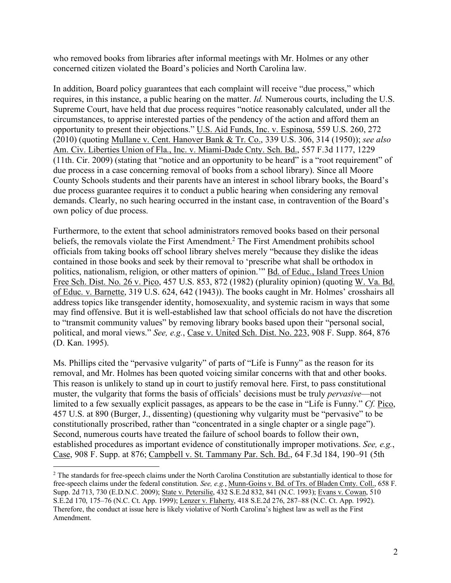who removed books from libraries after informal meetings with Mr. Holmes or any other concerned citizen violated the Board's policies and North Carolina law.

In addition, Board policy guarantees that each complaint will receive "due process," which requires, in this instance, a public hearing on the matter. *Id.* Numerous courts, including the U.S. Supreme Court, have held that due process requires "notice reasonably calculated, under all the circumstances, to apprise interested parties of the pendency of the action and afford them an opportunity to present their objections." U.S. Aid Funds, Inc. v. Espinosa, 559 U.S. 260, 272 (2010) (quoting Mullane v. Cent. Hanover Bank & Tr. Co., 339 U.S. 306, 314 (1950)); *see also*  Am. Civ. Liberties Union of Fla., Inc. v. Miami-Dade Cnty. Sch. Bd., 557 F.3d 1177, 1229 (11th. Cir. 2009) (stating that "notice and an opportunity to be heard" is a "root requirement" of due process in a case concerning removal of books from a school library). Since all Moore County Schools students and their parents have an interest in school library books, the Board's due process guarantee requires it to conduct a public hearing when considering any removal demands. Clearly, no such hearing occurred in the instant case, in contravention of the Board's own policy of due process.

Furthermore, to the extent that school administrators removed books based on their personal beliefs, the removals violate the First Amendment. <sup>2</sup> The First Amendment prohibits school officials from taking books off school library shelves merely "because they dislike the ideas contained in those books and seek by their removal to 'prescribe what shall be orthodox in politics, nationalism, religion, or other matters of opinion.'" Bd. of Educ., Island Trees Union Free Sch. Dist. No. 26 v. Pico, 457 U.S. 853, 872 (1982) (plurality opinion) (quoting W. Va. Bd. of Educ. v. Barnette, 319 U.S. 624, 642 (1943)). The books caught in Mr. Holmes' crosshairs all address topics like transgender identity, homosexuality, and systemic racism in ways that some may find offensive. But it is well-established law that school officials do not have the discretion to "transmit community values" by removing library books based upon their "personal social, political, and moral views." *See, e.g.*, Case v. United Sch. Dist. No. 223, 908 F. Supp. 864, 876 (D. Kan. 1995).

Ms. Phillips cited the "pervasive vulgarity" of parts of "Life is Funny" as the reason for its removal, and Mr. Holmes has been quoted voicing similar concerns with that and other books. This reason is unlikely to stand up in court to justify removal here. First, to pass constitutional muster, the vulgarity that forms the basis of officials' decisions must be truly *pervasive*—not limited to a few sexually explicit passages, as appears to be the case in "Life is Funny." *Cf.* Pico, 457 U.S. at 890 (Burger, J., dissenting) (questioning why vulgarity must be "pervasive" to be constitutionally proscribed, rather than "concentrated in a single chapter or a single page"). Second, numerous courts have treated the failure of school boards to follow their own, established procedures as important evidence of constitutionally improper motivations. *See, e.g.*, Case, 908 F. Supp. at 876; Campbell v. St. Tammany Par. Sch. Bd., 64 F.3d 184, 190–91 (5th

 <sup>2</sup> The standards for free-speech claims under the North Carolina Constitution are substantially identical to those for free-speech claims under the federal constitution. *See, e.g.*, Munn-Goins v. Bd. of Trs. of Bladen Cmty. Coll., 658 F. Supp. 2d 713, 730 (E.D.N.C. 2009); State v. Petersilie, 432 S.E.2d 832, 841 (N.C. 1993); Evans v. Cowan, 510 S.E.2d 170, 175–76 (N.C. Ct. App. 1999); Lenzer v. Flaherty, 418 S.E.2d 276, 287–88 (N.C. Ct. App. 1992). Therefore, the conduct at issue here is likely violative of North Carolina's highest law as well as the First Amendment.